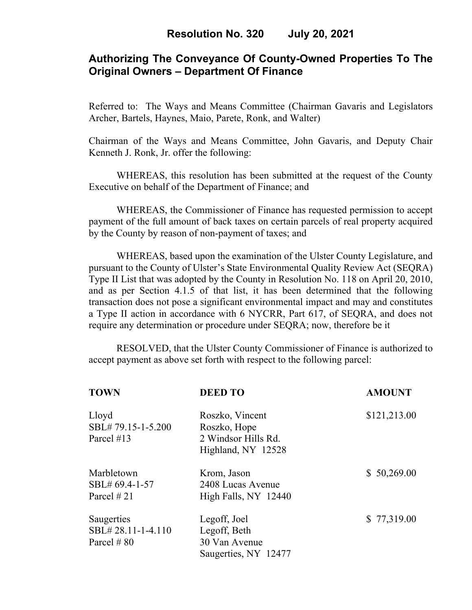# **Authorizing The Conveyance Of County-Owned Properties To The Original Owners – Department Of Finance**

Referred to: The Ways and Means Committee (Chairman Gavaris and Legislators Archer, Bartels, Haynes, Maio, Parete, Ronk, and Walter)

Chairman of the Ways and Means Committee, John Gavaris, and Deputy Chair Kenneth J. Ronk, Jr. offer the following:

WHEREAS, this resolution has been submitted at the request of the County Executive on behalf of the Department of Finance; and

WHEREAS, the Commissioner of Finance has requested permission to accept payment of the full amount of back taxes on certain parcels of real property acquired by the County by reason of non-payment of taxes; and

WHEREAS, based upon the examination of the Ulster County Legislature, and pursuant to the County of Ulster's State Environmental Quality Review Act (SEQRA) Type II List that was adopted by the County in Resolution No. 118 on April 20, 2010, and as per Section 4.1.5 of that list, it has been determined that the following transaction does not pose a significant environmental impact and may and constitutes a Type II action in accordance with 6 NYCRR, Part 617, of SEQRA, and does not require any determination or procedure under SEQRA; now, therefore be it

 RESOLVED, that the Ulster County Commissioner of Finance is authorized to accept payment as above set forth with respect to the following parcel:

| <b>TOWN</b>       | <b>DEED TO</b>       | <b>AMOUNT</b> |
|-------------------|----------------------|---------------|
| Lloyd             | Roszko, Vincent      | \$121,213.00  |
| SBL#79.15-1-5.200 | Roszko, Hope         |               |
| Parcel #13        | 2 Windsor Hills Rd.  |               |
|                   | Highland, NY 12528   |               |
| Marbletown        | Krom, Jason          | \$50,269.00   |
| SBL# 69.4-1-57    | 2408 Lucas Avenue    |               |
| Parcel # 21       | High Falls, NY 12440 |               |
| Saugerties        | Legoff, Joel         | \$77,319.00   |
| SBL#28.11-1-4.110 | Legoff, Beth         |               |
| Parcel # 80       | 30 Van Avenue        |               |
|                   | Saugerties, NY 12477 |               |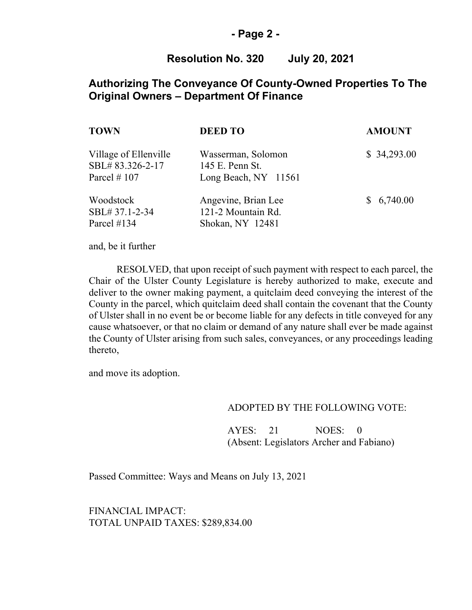### **- Page 2 -**

## **Resolution No. 320 July 20, 2021**

## **Authorizing The Conveyance Of County-Owned Properties To The Original Owners – Department Of Finance**

| TOWN                                                        | <b>DEED TO</b>                                                | <b>AMOUNT</b> |
|-------------------------------------------------------------|---------------------------------------------------------------|---------------|
| Village of Ellenville<br>SBL#83.326-2-17<br>Parcel $\#$ 107 | Wasserman, Solomon<br>145 E. Penn St.<br>Long Beach, NY 11561 | \$34,293.00   |
| Woodstock<br>SBL# 37.1-2-34<br>Parcel #134                  | Angevine, Brian Lee<br>121-2 Mountain Rd.<br>Shokan, NY 12481 | \$6,740.00    |

and, be it further

RESOLVED, that upon receipt of such payment with respect to each parcel, the Chair of the Ulster County Legislature is hereby authorized to make, execute and deliver to the owner making payment, a quitclaim deed conveying the interest of the County in the parcel, which quitclaim deed shall contain the covenant that the County of Ulster shall in no event be or become liable for any defects in title conveyed for any cause whatsoever, or that no claim or demand of any nature shall ever be made against the County of Ulster arising from such sales, conveyances, or any proceedings leading thereto,

and move its adoption.

#### ADOPTED BY THE FOLLOWING VOTE:

AYES: 21 NOES: 0 (Absent: Legislators Archer and Fabiano)

Passed Committee: Ways and Means on July 13, 2021

FINANCIAL IMPACT: TOTAL UNPAID TAXES: \$289,834.00